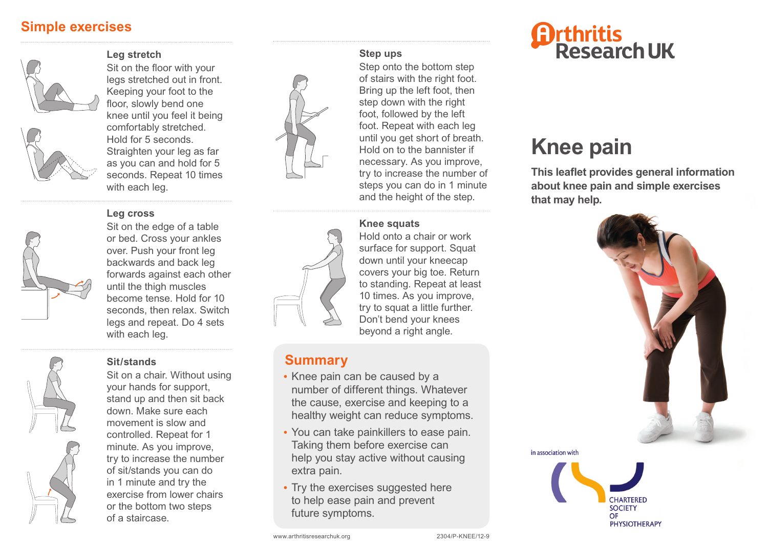### Simple exercises



#### Leg stretch

Sit on the floor with your legs stretched out in front. Keeping your foot to the floor, slowly bend one knee until you feel it being comfortably stretched. Hold for 5 seconds. Straighten your leg as far as you can and hold for 5 seconds. Repeat 10 times with each leg.

#### Leg cross



Sit on the edge of a table or bed. Cross your ankles over. Push your front leg backwards and back leg forwards against each other until the thigh muscles become tense. Hold for 10 seconds, then relax. Switch legs and repeat. Do 4 sets with each leg.



#### Sit/stands

Sit on a chair. Without using your hands for support, stand up and then sit back down. Make sure each movement is slow and controlled. Repeat for 1 minute. As you improve, try to increase the number of sit/stands you can do in 1 minute and try the exercise from lower chairs or the bottom two steps of a staircase.



#### Step ups

Step onto the bottom step of stairs with the right foot. Bring up the left foot, then step down with the right foot, followed by the left foot. Repeat with each leg until you get short of breath. Hold on to the bannister if necessary. As you improve, try to increase the number of steps you can do in 1 minute and the height of the step.

#### Knee squats



Hold onto a chair or work surface for support. Squat down until your kneecap covers your big toe. Return to standing. Repeat at least 10 times. As you improve, try to squat a little further. Don't bend your knees beyond a right angle.

### **Summary**

- **•** Knee pain can be caused by a number of different things. Whatever the cause, exercise and keeping to a healthy weight can reduce symptoms.
- **•** You can take painkillers to ease pain. Taking them before exercise can help you stay active without causing extra pain.
- **•** Try the exercises suggested here to help ease pain and prevent future symptoms.



# Knee pain

This leaflet provides general information about knee pain and simple exercises that may help.



in association with